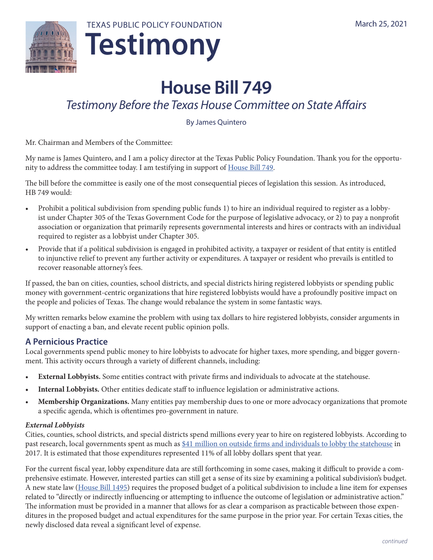

# **House Bill 749**

# *Testimony Before the Texas House Committee on State Affairs*

By James Quintero

Mr. Chairman and Members of the Committee:

My name is James Quintero, and I am a policy director at the Texas Public Policy Foundation. Thank you for the opportunity to address the committee today. I am testifying in support of [House Bill 749](https://capitol.texas.gov/BillLookup/History.aspx?LegSess=87R&Bill=HB749).

The bill before the committee is easily one of the most consequential pieces of legislation this session. As introduced, HB 749 would:

- Prohibit a political subdivision from spending public funds 1) to hire an individual required to register as a lobbyist under Chapter 305 of the Texas Government Code for the purpose of legislative advocacy, or 2) to pay a nonprofit association or organization that primarily represents governmental interests and hires or contracts with an individual required to register as a lobbyist under Chapter 305.
- Provide that if a political subdivision is engaged in prohibited activity, a taxpayer or resident of that entity is entitled to injunctive relief to prevent any further activity or expenditures. A taxpayer or resident who prevails is entitled to recover reasonable attorney's fees.

If passed, the ban on cities, counties, school districts, and special districts hiring registered lobbyists or spending public money with government-centric organizations that hire registered lobbyists would have a profoundly positive impact on the people and policies of Texas. The change would rebalance the system in some fantastic ways.

My written remarks below examine the problem with using tax dollars to hire registered lobbyists, consider arguments in support of enacting a ban, and elevate recent public opinion polls.

# **A Pernicious Practice**

Local governments spend public money to hire lobbyists to advocate for higher taxes, more spending, and bigger government. This activity occurs through a variety of different channels, including:

- **External Lobbyists.** Some entities contract with private firms and individuals to advocate at the statehouse.
- **• Internal Lobbyists.** Other entities dedicate staff to influence legislation or administrative actions.
- **Membership Organizations.** Many entities pay membership dues to one or more advocacy organizations that promote a specific agenda, which is oftentimes pro-government in nature.

### *External Lobbyists*

Cities, counties, school districts, and special districts spend millions every year to hire on registered lobbyists. According to [past research,](https://files.texaspolicy.com/uploads/2018/08/16104346/2017-11-PolicyBrief-TaxpayerFundedLobbying-CEP-DeVore-1.pdf) local governments spent as much as [\\$41 million on outside firms and individuals to lobby the statehouse](https://files.texaspolicy.com/uploads/2018/08/16104346/2017-11-PolicyBrief-TaxpayerFundedLobbying-CEP-DeVore-1.pdf) in 2017. It is estimated that those expenditures represented 11% of all lobby dollars spent that year.

For the current fiscal year, lobby expenditure data are still forthcoming in some cases, making it difficult to provide a comprehensive estimate. However, interested parties can still get a sense of its size by examining a political subdivision's budget. A new state law [\(House Bill 1495\)](https://capitol.texas.gov/tlodocs/86R/billtext/pdf/HB01495F.pdf) requires the proposed budget of a political subdivision to include a line item for expenses related to "directly or indirectly influencing or attempting to influence the outcome of legislation or administrative action." The information must be provided in a manner that allows for as clear a comparison as practicable between those expenditures in the proposed budget and actual expenditures for the same purpose in the prior year. For certain Texas cities, the newly disclosed data reveal a significant level of expense.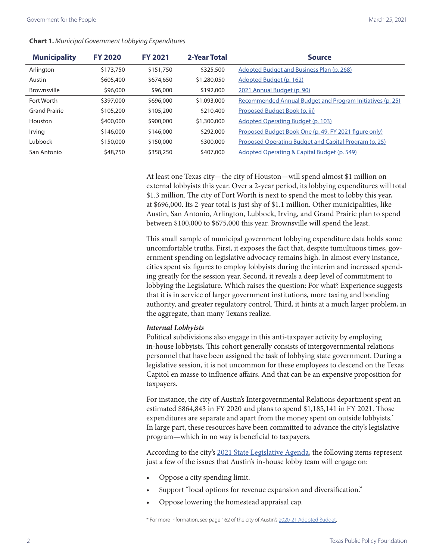#### **Chart 1.** *Municipal Government Lobbying Expenditures*

| <b>Municipality</b>  | <b>FY 2020</b> | <b>FY 2021</b> | 2-Year Total | <b>Source</b>                                             |
|----------------------|----------------|----------------|--------------|-----------------------------------------------------------|
| Arlington            | \$173,750      | \$151,750      | \$325,500    | Adopted Budget and Business Plan (p. 268)                 |
| Austin               | \$605,400      | \$674,650      | \$1,280,050  | Adopted Budget (p. 162)                                   |
| Brownsville          | \$96,000       | \$96,000       | \$192,000    | 2021 Annual Budget (p. 90)                                |
| Fort Worth           | \$397,000      | \$696,000      | \$1,093,000  | Recommended Annual Budget and Program Initiatives (p. 25) |
| <b>Grand Prairie</b> | \$105,200      | \$105,200      | \$210,400    | Proposed Budget Book (p. iii)                             |
| Houston              | \$400,000      | \$900,000      | \$1,300,000  | Adopted Operating Budget (p. 103)                         |
| Irving               | \$146,000      | \$146,000      | \$292,000    | Proposed Budget Book One (p. 49, FY 2021 figure only)     |
| Lubbock              | \$150,000      | \$150,000      | \$300,000    | Proposed Operating Budget and Capital Program (p. 25)     |
| San Antonio          | \$48,750       | \$358,250      | \$407,000    | Adopted Operating & Capital Budget (p. 549)               |

At least one Texas city—the city of Houston—will spend almost \$1 million on external lobbyists this year. Over a 2-year period, its lobbying expenditures will total \$1.3 million. The city of Fort Worth is next to spend the most to lobby this year, at \$696,000. Its 2-year total is just shy of \$1.1 million. Other municipalities, like Austin, San Antonio, Arlington, Lubbock, Irving, and Grand Prairie plan to spend between \$100,000 to \$675,000 this year. Brownsville will spend the least.

This small sample of municipal government lobbying expenditure data holds some uncomfortable truths. First, it exposes the fact that, despite tumultuous times, government spending on legislative advocacy remains high. In almost every instance, cities spent six figures to employ lobbyists during the interim and increased spending greatly for the session year. Second, it reveals a deep level of commitment to lobbying the Legislature. Which raises the question: For what? Experience suggests that it is in service of larger government institutions, more taxing and bonding authority, and greater regulatory control. Third, it hints at a much larger problem, in the aggregate, than many Texans realize.

#### *Internal Lobbyists*

Political subdivisions also engage in this anti-taxpayer activity by employing in-house lobbyists. This cohort generally consists of intergovernmental relations personnel that have been assigned the task of lobbying state government. During a legislative session, it is not uncommon for these employees to descend on the Texas Capitol en masse to influence affairs. And that can be an expensive proposition for taxpayers.

For instance, the city of Austin's Intergovernmental Relations department spent an estimated \$864,843 in FY 2020 and plans to spend \$1,185,141 in FY 2021. Those expenditures are separate and apart from the money spent on outside lobbyists.<sup>\*</sup> In large part, these resources have been committed to advance the city's legislative program—which in no way is beneficial to taxpayers.

According to the city's [2021 State Legislative Agenda,](https://www.austintexas.gov/edims/document.cfm?id=346399) the following items represent just a few of the issues that Austin's in-house lobby team will engage on:

- Oppose a city spending limit.
- Support "local options for revenue expansion and diversification."
- Oppose lowering the homestead appraisal cap.

<sup>\*</sup> For more information, see page 162 of the city of Austin's [2020-21 Adopted Budget](https://assets.austintexas.gov/budget/20-21/downloads/2020-21_Approved_Budget.pdf).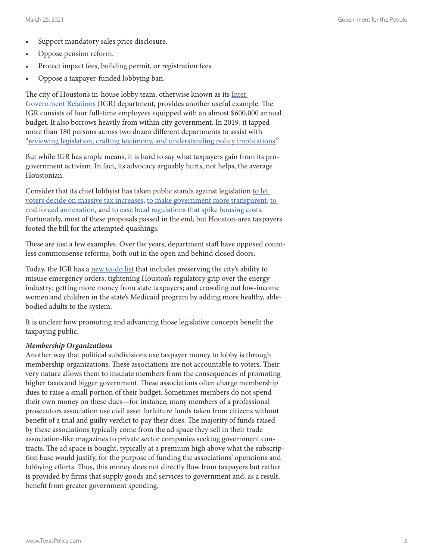- Support mandatory sales price disclosure.
- Oppose pension reform.
- Protect impact fees, building permit, or registration fees.
- Oppose a taxpayer-funded lobbying ban.

The city of Houston's in-house lobby team, otherwise known as its Inter [Government Relations](https://www.houstontx.gov/govtrelations/index.html) (IGR) department, provides another useful example. The IGR consists of four full-time employees equipped with an almost \$600,000 annual budget. It also borrows heavily from within city government. In 2019, it tapped more than 180 persons across two dozen different departments to assist with ["reviewing legislation, crafting testimony, and understanding policy implications.](https://www.houstontx.gov/legislative-report-2019/special-thanks/)"

But while IGR has ample means, it is hard to say what taxpayers gain from its progovernment activism. In fact, its advocacy arguably hurts, not helps, the average Houstonian.

Consider that its chief lobbyist has taken public stands against legislation to let [voters decide on massive tax increases,](https://capitol.texas.gov/tlodocs/86R/witlistbill/html/SB00002S.htm) [to make government more transparent](https://capitol.texas.gov/tlodocs/86R/witlistmtg/pdf/C0302019040807301.PDF), [to](https://capitol.texas.gov/tlodocs/85R/witlistbill/pdf/SB00715S.pdf)  [end forced annexation](https://capitol.texas.gov/tlodocs/85R/witlistbill/pdf/SB00715S.pdf), and [to ease local regulations that spike housing costs](https://capitol.texas.gov/tlodocs/86R/witlistbill/pdf/HB02439H.pdf). Fortunately, most of these proposals passed in the end, but Houston-area taxpayers footed the bill for the attempted quashings.

These are just a few examples. Over the years, department staff have opposed countless commonsense reforms, both out in the open and behind closed doors.

Today, the IGR has a [new to-do list](https://www.houstontx.gov/govtrelations/2021lege/12.9.20-87th-Session-Principles.pdf) that includes preserving the city's ability to misuse emergency orders; tightening Houston's regulatory grip over the energy industry; getting more money from state taxpayers; and crowding out low-income women and children in the state's Medicaid program by adding more healthy, ablebodied adults to the system.

It is unclear how promoting and advancing those legislative concepts benefit the taxpaying public.

#### *Membership Organizations*

Another way that political subdivisions use taxpayer money to lobby is through membership organizations. These associations are not accountable to voters. Their very nature allows them to insulate members from the consequences of promoting higher taxes and bigger government. These associations often charge membership dues to raise a small portion of their budget. Sometimes members do not spend their own money on these dues—for instance, many members of a professional prosecutors association use civil asset forfeiture funds taken from citizens without benefit of a trial and guilty verdict to pay their dues. The majority of funds raised by these associations typically come from the ad space they sell in their trade association-like magazines to private sector companies seeking government contracts. The ad space is bought, typically at a premium high above what the subscription base would justify, for the purpose of funding the associations' operations and lobbying efforts. Thus, this money does not directly flow from taxpayers but rather is provided by firms that supply goods and services to government and, as a result, benefit from greater government spending.